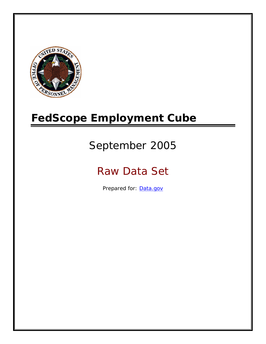

# **FedScope Employment Cube**

# September 2005

# Raw Data Set

Prepared for: [Data.gov](http://www.data.gov/)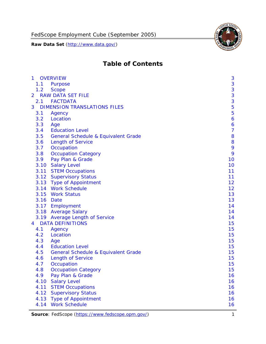

# **Table of Contents**

| $\mathbf{1}$ | <b>OVERVIEW</b>                                | 3              |
|--------------|------------------------------------------------|----------------|
| 1.1          | Purpose                                        | 3              |
| 1.2          | <b>Scope</b>                                   | 3              |
| 2            | <b>RAW DATA SET FILE</b>                       | 3              |
| 2.1          | <b>FACTDATA</b>                                | 3              |
| 3            | <b>DIMENSION TRANSLATIONS FILES</b>            | 5              |
| 3.1          | Agency                                         | 5              |
| 3.2          | Location                                       | 6              |
| 3.3          | Age                                            | 6              |
| 3.4          | <b>Education Level</b>                         | $\overline{7}$ |
| 3.5          | <b>General Schedule &amp; Equivalent Grade</b> | 8              |
| 3.6          | <b>Length of Service</b>                       | 8              |
| 3.7          | Occupation                                     | 9              |
| 3.8          | <b>Occupation Category</b>                     | 9              |
| 3.9          | Pay Plan & Grade                               | 10             |
| 3.10         | <b>Salary Level</b>                            | 10             |
|              | 3.11 STEM Occupations                          | 11             |
|              | 3.12 Supervisory Status                        | 11             |
|              | 3.13 Type of Appointment                       | 12             |
|              | 3.14 Work Schedule                             | 12             |
| 3.15         | <b>Work Status</b>                             | 13             |
|              | 3.16 Date                                      | 13             |
|              | 3.17 Employment                                | 14             |
|              | 3.18 Average Salary                            | 14             |
|              | 3.19 Average Length of Service                 | 14             |
| 4            | <b>DATA DEFINITIONS</b>                        | 15             |
| 4.1          | Agency                                         | 15             |
| 4.2          | Location                                       | 15             |
| 4.3          | Age                                            | 15             |
| 4.4          | <b>Education Level</b>                         | 15             |
| 4.5          | <b>General Schedule &amp; Equivalent Grade</b> | 15             |
| 4.6          | <b>Length of Service</b>                       | 15             |
| 4.7          | Occupation                                     | 15             |
| 4.8          | <b>Occupation Category</b>                     | 15             |
| 4.9          | Pay Plan & Grade                               | 16             |
| 4.10         | <b>Salary Level</b>                            | 16             |
| 4.11         | <b>STEM Occupations</b>                        | 16             |
| 4.12         | <b>Supervisory Status</b>                      | 16             |
| 4.13         | <b>Type of Appointment</b>                     | 16             |
| 4.14         | <b>Work Schedule</b>                           | 16             |

**Source**: FedScope (https://www.fedscope.opm.gov/) 1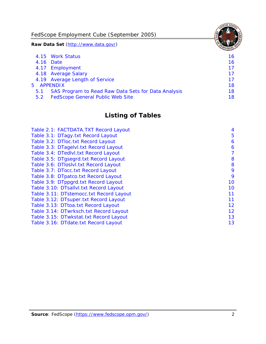FedScope Employment Cube (September 2005)

**Raw Data Set** (http://www.data.gov/)

|     | 4.15 Work Status                                    | 16. |
|-----|-----------------------------------------------------|-----|
|     | 4.16 Date                                           | 16  |
|     | 4.17 Employment                                     | 17  |
|     | 4.18 Average Salary                                 | 17  |
|     | 4.19 Average Length of Service                      | 17  |
|     | 5 APPENDIX                                          | 18  |
| 5.1 | SAS Program to Read Raw Data Sets for Data Analysis | 18  |
| 5.2 | <b>FedScope General Public Web Site</b>             | 18  |

# **Listing of Tables**

| Table 2.1: FACTDATA.TXT Record Layout   | 4  |
|-----------------------------------------|----|
| Table 3.1: DTagy.txt Record Layout      | 5  |
| Table 3.2: DTloc.txt Record Layout      | 6  |
| Table 3.3: DTagelvl.txt Record Layout   | 6  |
| Table 3.4: DTedlvl.txt Record Layout    | 7  |
| Table 3.5: DTgsegrd.txt Record Layout   | 8  |
| Table 3.6: DTIoslyl.txt Record Layout   | 8  |
| Table 3.7: DTocc.txt Record Layout      | 9  |
| Table 3.8: DTpatco.txt Record Layout    | 9  |
| Table 3.9: DTppgrd.txt Record Layout    | 10 |
| Table 3.10: DTsallvl.txt Record Layout  | 10 |
| Table 3.11: DTstemocc.txt Record Layout | 11 |
| Table 3.12: DTsuper.txt Record Layout   | 11 |
| Table 3.13: DTtoa.txt Record Layout     | 12 |
| Table 3.14: DTwrksch.txt Record Layout  | 12 |
| Table 3.15: DTwkstat.txt Record Layout  | 13 |
| Table 3.16: DTdate.txt Record Layout    | 13 |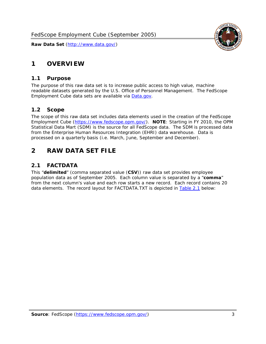<span id="page-3-0"></span>

#### *1.1 Purpose*

<span id="page-3-1"></span>The purpose of this raw data set is to increase public access to high value, machine readable datasets generated by the U.S. Office of Personnel Management. The FedScope Employment Cube data sets are available via [Data.gov](http://www.data.gov/).

## <span id="page-3-2"></span>*1.2 Scope*

The scope of this raw data set includes data elements used in the creation of the FedScope Employment Cube [\(https://www.fedscope.opm.gov/\)](https://www.fedscope.opm.gov/). **NOTE**: Starting in FY 2010, the OPM Statistical Data Mart (SDM) is the source for all FedScope data. The SDM is processed data from the Enterprise Human Resources Integration (EHRI) data warehouse. Data is processed on a quarterly basis (i.e. March, June, September and December).

# <span id="page-3-3"></span>**2 RAW DATA SET FILE**

# <span id="page-3-4"></span>*2.1 FACTDATA*

This "**delimited**" (comma separated value (**CSV**)) raw data set provides employee population data as of September 2005. Each column value is separated by a "**comma**" from the next column's value and each row starts a new record. Each record contains 20 data elements. The record layout for FACTDATA.TXT is depicted in [Table 2.1](#page-4-1) below:

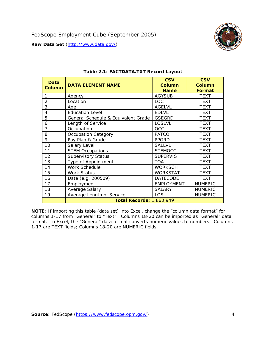<span id="page-4-1"></span><span id="page-4-0"></span>

**NOTE**: If importing this table (data set) into Excel, change the "column data format" for columns 1-17 from "General" to "Text". Columns 18-20 can be imported as "General" data format. In Excel, the "General" data format converts numeric values to numbers. Columns 1-17 are TEXT fields; Columns 18-20 are NUMERIC fields.

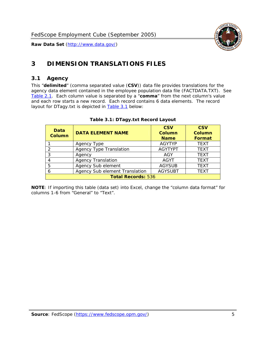

# <span id="page-5-0"></span>**3 DIMENSION TRANSLATIONS FILES**

#### <span id="page-5-1"></span>*3.1 Agency*

<span id="page-5-3"></span><span id="page-5-2"></span>This "**delimited**" (comma separated value (**CSV**)) data file provides translations for the agency data element contained in the employee population data file (FACTDATA.TXT). See [Table 2.1.](#page-4-1) Each column value is separated by a "**comma**" from the next column's value and each row starts a new record. Each record contains 6 data elements. The record layout for DTagy.txt is depicted in **Table 3.1** below:

| Data<br>Column            | <b>DATA ELEMENT NAME</b>       | <b>CSV</b><br><b>Column</b><br><b>Name</b> | <b>CSV</b><br>Column<br><b>Format</b> |
|---------------------------|--------------------------------|--------------------------------------------|---------------------------------------|
|                           | Agency Type                    | <b>AGYTYP</b>                              | <b>TEXT</b>                           |
|                           | <b>Agency Type Translation</b> | <b>AGYTYPT</b>                             | <b>TEXT</b>                           |
|                           | Agency                         | AGY                                        | <b>TEXT</b>                           |
|                           | <b>Agency Translation</b>      | AGYT                                       | <b>TEXT</b>                           |
| 5                         | Agency Sub element             | <b>AGYSUB</b>                              | <b>TEXT</b>                           |
|                           | Agency Sub element Translation | <b>AGYSUBT</b>                             | <b>TEXT</b>                           |
| <b>Total Records: 536</b> |                                |                                            |                                       |

#### **Table 3.1: DTagy.txt Record Layout**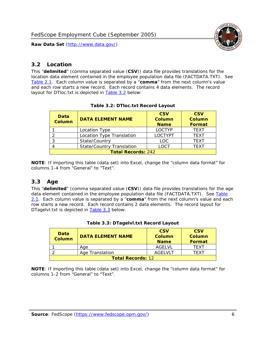

#### <span id="page-6-0"></span>*3.2 Location*

<span id="page-6-4"></span><span id="page-6-2"></span>This "**delimited**" (comma separated value (**CSV**)) data file provides translations for the location data element contained in the employee population data file (FACTDATA.TXT). See [Table 2.1.](#page-4-1) Each column value is separated by a "**comma**" from the next column's value and each row starts a new record. Each record contains 4 data elements. The record layout for DTloc.txt is depicted in [Table 3.2](#page-6-4) below:

| Data<br><b>Column</b>     | <b>DATA ELEMENT NAME</b>         | <b>CSV</b><br>Column<br><b>Name</b> | <b>CSV</b><br><b>Column</b><br><b>Format</b> |
|---------------------------|----------------------------------|-------------------------------------|----------------------------------------------|
|                           | Location Type                    | <b>LOCTYP</b>                       | <b>TEXT</b>                                  |
|                           | Location Type Translation        | <b>LOCTYPT</b>                      | <b>TEXT</b>                                  |
| ົ                         | State/Country                    | <b>LOC</b>                          | <b>TFXT</b>                                  |
|                           | <b>State/Country Translation</b> | LOCT                                | <b>TFXT</b>                                  |
| <b>Total Records: 242</b> |                                  |                                     |                                              |

#### **Table 3.2: DTloc.txt Record Layout**

**NOTE**: If importing this table (data set) into Excel, change the "column data format" for columns 1-4 from "General" to "Text".

#### <span id="page-6-1"></span>*3.3 Age*

<span id="page-6-5"></span><span id="page-6-3"></span>This "**delimited**" (comma separated value (**CSV**)) data file provides translations for the age data element contained in the employee population data file (FACTDATA.TXT). See [Table](#page-4-1) [2.1](#page-4-1). Each column value is separated by a "**comma**" from the next column's value and each row starts a new record. Each record contains 2 data elements. The record layout for DTagelvl.txt is depicted in **[Table 3.3](#page-6-5)** below:

| Data<br><b>Column</b>    | <b>DATA ELEMENT NAME</b> | <b>CSV</b><br>Column<br><b>Name</b> | <b>CSV</b><br>Column<br>Format |
|--------------------------|--------------------------|-------------------------------------|--------------------------------|
|                          | Aae                      | AGFI VI                             | TFXT                           |
|                          | Age Translation          | AGFI VI T                           | TFXT                           |
| <b>Total Records: 12</b> |                          |                                     |                                |

#### **Table 3.3: DTagelvl.txt Record Layout**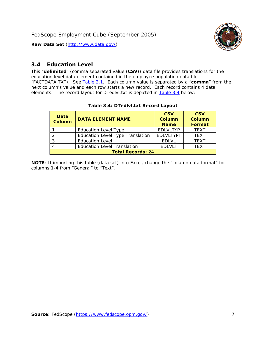

## <span id="page-7-0"></span>*3.4 Education Level*

<span id="page-7-2"></span><span id="page-7-1"></span>This "**delimited**" (comma separated value (**CSV**)) data file provides translations for the education level data element contained in the employee population data file (FACTDATA.TXT). See [Table 2.1](#page-4-1). Each column value is separated by a "**comma**" from the next column's value and each row starts a new record. Each record contains 4 data elements. The record layout for DTedlvl.txt is depicted in [Table 3.4](#page-7-2) below:

| Data<br><b>Column</b>    | <b>DATA ELEMENT NAME</b>                | <b>CSV</b><br><b>Column</b><br><b>Name</b> | <b>CSV</b><br><b>Column</b><br><b>Format</b> |
|--------------------------|-----------------------------------------|--------------------------------------------|----------------------------------------------|
|                          | <b>Education Level Type</b>             | <b>EDLVLTYP</b>                            | <b>TEXT</b>                                  |
|                          | <b>Education Level Type Translation</b> | <b>EDLVLTYPT</b>                           | <b>TEXT</b>                                  |
|                          | <b>Education Level</b>                  | <b>EDLVL</b>                               | <b>TEXT</b>                                  |
|                          | <b>Education Level Translation</b>      | <b>EDLVLT</b>                              | <b>TEXT</b>                                  |
| <b>Total Records: 24</b> |                                         |                                            |                                              |

#### **Table 3.4: DTedlvl.txt Record Layout**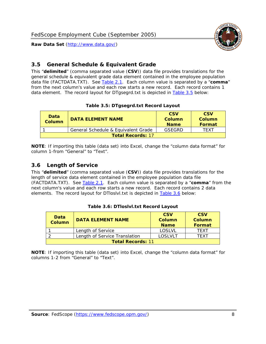<span id="page-8-0"></span>

This "**delimited**" (comma separated value (**CSV**)) data file provides translations for the general schedule & equivalent grade data element contained in the employee population data file (FACTDATA.TXT). See [Table 2.1](#page-4-1). Each column value is separated by a "**comma**" from the next column's value and each row starts a new record. Each record contains 1 data element. The record layout for DTgsegrd.txt is depicted in [Table 3.5](#page-8-4) below:

#### **Table 3.5: DTgsegrd.txt Record Layout**

<span id="page-8-4"></span><span id="page-8-2"></span>

| Data<br>Column           | <b>DATA ELEMENT NAME</b>            | <b>CSV</b><br>Column<br><b>Name</b> | <b>CSV</b><br>Column<br><b>Format</b> |
|--------------------------|-------------------------------------|-------------------------------------|---------------------------------------|
|                          | General Schedule & Equivalent Grade | GSFGRD                              | <b>TFXT</b>                           |
| <b>Total Records: 17</b> |                                     |                                     |                                       |

**NOTE**: If importing this table (data set) into Excel, change the "column data format" for column 1-from "General" to "Text".

#### <span id="page-8-1"></span>*3.6 Length of Service*

<span id="page-8-5"></span>This "**delimited**" (comma separated value (**CSV**)) data file provides translations for the length of service data element contained in the employee population data file (FACTDATA.TXT). See [Table 2.1](#page-4-1). Each column value is separated by a "**comma**" from the next column's value and each row starts a new record. Each record contains 2 data elements. The record layout for DTloslvl.txt is depicted in [Table 3.6](#page-8-5) below:

<span id="page-8-3"></span>

| Data<br><b>Column</b>    | <b>DATA ELEMENT NAME</b>      | <b>CSV</b><br><b>Column</b><br><b>Name</b> | <b>CSV</b><br>Column<br>Format |
|--------------------------|-------------------------------|--------------------------------------------|--------------------------------|
|                          | Length of Service             | LOSLVL                                     | TFXT                           |
|                          | Length of Service Translation | LOSI VLT                                   | TFXT                           |
| <b>Total Records: 11</b> |                               |                                            |                                |

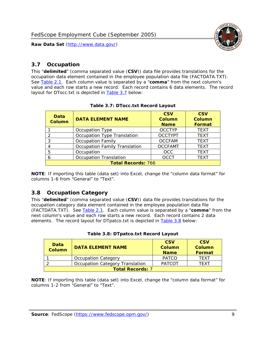

#### <span id="page-9-0"></span>*3.7 Occupation*

<span id="page-9-4"></span>This "**delimited**" (comma separated value (**CSV**)) data file provides translations for the occupation data element contained in the employee population data file (FACTDATA.TXT). See [Table 2.1](#page-4-1). Each column value is separated by a "**comma**" from the next column's value and each row starts a new record. Each record contains 6 data elements. The record layout for DTocc.txt is depicted in [Table 3.7](#page-9-4) below:

<span id="page-9-2"></span>

| Data<br><b>Column</b>     | <b>DATA ELEMENT NAME</b>             | <b>CSV</b><br>Column<br><b>Name</b> | <b>CSV</b><br>Column<br><b>Format</b> |
|---------------------------|--------------------------------------|-------------------------------------|---------------------------------------|
|                           | Occupation Type                      | <b>OCCTYP</b>                       | <b>TEXT</b>                           |
|                           | Occupation Type Translation          | <b>OCCTYPT</b>                      | <b>TEXT</b>                           |
| ર                         | <b>Occupation Family</b>             | <b>OCCFAM</b>                       | <b>TEXT</b>                           |
|                           | <b>Occupation Family Translation</b> | <b>OCCFAMT</b>                      | <b>TEXT</b>                           |
| 5                         | Occupation                           | <b>OCC</b>                          | <b>TEXT</b>                           |
|                           | <b>Occupation Translation</b>        | <b>OCCT</b>                         | <b>TEXT</b>                           |
| <b>Total Records: 766</b> |                                      |                                     |                                       |

#### **Table 3.7: DTocc.txt Record Layout**

**NOTE**: If importing this table (data set) into Excel, change the "column data format" for columns 1-6 from "General" to "Text".

#### <span id="page-9-1"></span>*3.8 Occupation Category*

<span id="page-9-5"></span>This "**delimited**" (comma separated value (**CSV**)) data file provides translations for the occupation category data element contained in the employee population data file (FACTDATA.TXT). See [Table 2.1](#page-4-1). Each column value is separated by a "**comma**" from the next column's value and each row starts a new record. Each record contains 2 data elements. The record layout for DTpatco.txt is depicted in [Table 3.8](#page-9-5) below:

<span id="page-9-3"></span>

| Data<br><b>Column</b>   | <b>DATA ELEMENT NAME</b>        | <b>CSV</b><br>Column<br><b>Name</b> | <b>CSV</b><br>Column<br>Format |
|-------------------------|---------------------------------|-------------------------------------|--------------------------------|
|                         | <b>Occupation Category</b>      | <b>PATCO</b>                        | <b>TFXT</b>                    |
|                         | Occupation Category Translation | <b>PATCOT</b>                       | TFXT                           |
| <b>Total Records: 7</b> |                                 |                                     |                                |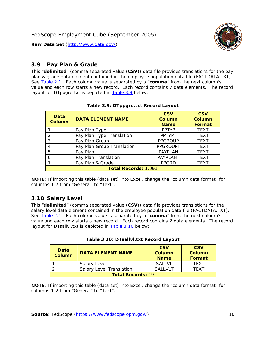

## <span id="page-10-0"></span>*3.9 Pay Plan & Grade*

<span id="page-10-4"></span>This "**delimited**" (comma separated value (**CSV**)) data file provides translations for the pay plan & grade data element contained in the employee population data file (FACTDATA.TXT). See [Table 2.1](#page-4-1). Each column value is separated by a "**comma**" from the next column's value and each row starts a new record. Each record contains 7 data elements. The record layout for DTppgrd.txt is depicted in **Table 3.9** below:

<span id="page-10-2"></span>

| Data<br>Column              | <b>DATA ELEMENT NAME</b>   | <b>CSV</b><br>Column<br><b>Name</b> | <b>CSV</b><br>Column<br><b>Format</b> |  |
|-----------------------------|----------------------------|-------------------------------------|---------------------------------------|--|
|                             | Pay Plan Type              | <b>PPTYP</b>                        | <b>TEXT</b>                           |  |
| $\mathcal{P}$               | Pay Plan Type Translation  | <b>PPTYPT</b>                       | <b>TEXT</b>                           |  |
| 3                           | Pay Plan Group             | <b>PPGROUP</b>                      | <b>TEXT</b>                           |  |
|                             | Pay Plan Group Translation | <b>PPGROUPT</b>                     | <b>TEXT</b>                           |  |
| 5                           | Pay Plan                   | <b>PAYPLAN</b>                      | <b>TEXT</b>                           |  |
| 6                           | Pay Plan Translation       | <b>PAYPLANT</b>                     | <b>TEXT</b>                           |  |
|                             | Pay Plan & Grade           | <b>PPGRD</b>                        | <b>TEXT</b>                           |  |
| <b>Total Records: 1,091</b> |                            |                                     |                                       |  |

#### **Table 3.9: DTppgrd.txt Record Layout**

**NOTE**: If importing this table (data set) into Excel, change the "column data format" for columns 1-7 from "General" to "Text".

## <span id="page-10-1"></span>*3.10 Salary Level*

<span id="page-10-5"></span><span id="page-10-3"></span>This "**delimited**" (comma separated value (**CSV**)) data file provides translations for the salary level data element contained in the employee population data file (FACTDATA.TXT). See [Table 2.1](#page-4-1). Each column value is separated by a "**comma**" from the next column's value and each row starts a new record. Each record contains 2 data elements. The record layout for DTsallvl.txt is depicted in [Table 3.10](#page-10-5) below:

| <b>Data</b><br>Column    | <b>DATA ELEMENT NAME</b>        | <b>CSV</b><br>Column<br><b>Name</b> | <b>CSV</b><br>Column<br><b>Format</b> |
|--------------------------|---------------------------------|-------------------------------------|---------------------------------------|
|                          | Salary Level                    | <b>SALLVL</b>                       | TFXT                                  |
|                          | <b>Salary Level Translation</b> | SAI I VI T                          | TEXT                                  |
| <b>Total Records: 19</b> |                                 |                                     |                                       |

| Table 3.10: DTsallvl.txt Record Layout |  |
|----------------------------------------|--|
|----------------------------------------|--|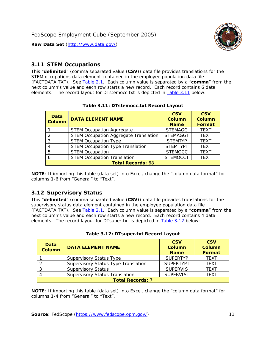

#### <span id="page-11-0"></span>*3.11 STEM Occupations*

<span id="page-11-4"></span>This "**delimited**" (comma separated value (**CSV**)) data file provides translations for the STEM occupations data element contained in the employee population data file (FACTDATA.TXT). See [Table 2.1](#page-4-1). Each column value is separated by a "**comma**" from the next column's value and each row starts a new record. Each record contains 6 data elements. The record layout for DTstemocc.txt is depicted in [Table 3.11](#page-11-4) below:

<span id="page-11-2"></span>

| <b>Data</b><br><b>Column</b> | <b>DATA ELEMENT NAME</b>                     | <b>CSV</b><br>Column<br><b>Name</b> | <b>CSV</b><br><b>Column</b><br><b>Format</b> |  |
|------------------------------|----------------------------------------------|-------------------------------------|----------------------------------------------|--|
|                              | <b>STEM Occupation Aggregate</b>             | <b>STEMAGG</b>                      | <b>TEXT</b>                                  |  |
|                              | <b>STEM Occupation Aggregate Translation</b> | <b>STEMAGGT</b>                     | <b>TEXT</b>                                  |  |
| 3                            | <b>STEM Occupation Type</b>                  | <b>STEMTYP</b>                      | <b>TEXT</b>                                  |  |
|                              | <b>STEM Occupation Type Translation</b>      | <b>STEMTYPT</b>                     | <b>TEXT</b>                                  |  |
| 5                            | <b>STEM Occupation</b>                       | <b>STEMOCC</b>                      | <b>TEXT</b>                                  |  |
|                              | <b>STEM Occupation Translation</b>           | <b>STEMOCCT</b>                     | <b>TEXT</b>                                  |  |
| <b>Total Records: 68</b>     |                                              |                                     |                                              |  |

#### **Table 3.11: DTstemocc.txt Record Layout**

**NOTE**: If importing this table (data set) into Excel, change the "column data format" for columns 1-6 from "General" to "Text".

# <span id="page-11-1"></span>*3.12 Supervisory Status*

This "**delimited**" (comma separated value (**CSV**)) data file provides translations for the supervisory status data element contained in the employee population data file (FACTDATA.TXT). See [Table 2.1](#page-4-1). Each column value is separated by a "**comma**" from the next column's value and each row starts a new record. Each record contains 4 data elements. The record layout for DTsuper.txt is depicted in [Table 3.12](#page-11-5) below:

<span id="page-11-5"></span><span id="page-11-3"></span>

| Data<br><b>Column</b>   | <b>DATA ELEMENT NAME</b>              | <b>CSV</b><br>Column<br><b>Name</b> | <b>CSV</b><br><b>Column</b><br>Format |  |
|-------------------------|---------------------------------------|-------------------------------------|---------------------------------------|--|
|                         | <b>Supervisory Status Type</b>        | <b>SUPFRTYP</b>                     | <b>TEXT</b>                           |  |
|                         | Supervisory Status Type Translation   | <b>SUPERTYPT</b>                    | <b>TEXT</b>                           |  |
|                         | <b>Supervisory Status</b>             | <b>SUPERVIS</b>                     | <b>TEXT</b>                           |  |
|                         | <b>Supervisory Status Translation</b> | <b>SUPERVIST</b>                    | <b>TEXT</b>                           |  |
| <b>Total Records: 7</b> |                                       |                                     |                                       |  |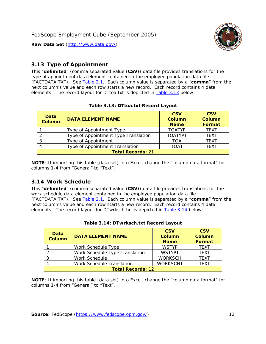

## <span id="page-12-0"></span>*3.13 Type of Appointment*

This "**delimited**" (comma separated value (**CSV**)) data file provides translations for the type of appointment data element contained in the employee population data file (FACTDATA.TXT). See [Table 2.1](#page-4-1). Each column value is separated by a "**comma**" from the next column's value and each row starts a new record. Each record contains 4 data elements. The record layout for DTtoa.txt is depicted in [Table 3.13](#page-12-4) below:

<span id="page-12-4"></span><span id="page-12-2"></span>

| Data<br><b>Column</b>    | <b>DATA ELEMENT NAME</b>             | <b>CSV</b><br><b>Column</b><br><b>Name</b> | <b>CSV</b><br><b>Column</b><br><b>Format</b> |  |
|--------------------------|--------------------------------------|--------------------------------------------|----------------------------------------------|--|
|                          | Type of Appointment Type             | <b>TOATYP</b>                              | <b>TFXT</b>                                  |  |
|                          | Type of Appointment Type Translation | <b>TOATYPT</b>                             | <b>TEXT</b>                                  |  |
|                          | Type of Appointment                  | <b>TOA</b>                                 | <b>TEXT</b>                                  |  |
|                          | Type of Appointment Translation      | <b>TOAT</b>                                | <b>TFXT</b>                                  |  |
| <b>Total Records: 21</b> |                                      |                                            |                                              |  |

#### **Table 3.13: DTtoa.txt Record Layout**

**NOTE**: If importing this table (data set) into Excel, change the "column data format" for columns 1-4 from "General" to "Text".

#### <span id="page-12-1"></span>*3.14 Work Schedule*

<span id="page-12-5"></span>This "**delimited**" (comma separated value (**CSV**)) data file provides translations for the work schedule data element contained in the employee population data file (FACTDATA.TXT). See [Table 2.1](#page-4-1). Each column value is separated by a "**comma**" from the next column's value and each row starts a new record. Each record contains 4 data elements. The record layout for DTwrksch.txt is depicted in [Table 3.14](#page-12-5) below:

<span id="page-12-3"></span>

| Data<br><b>Column</b>    | <b>DATA ELEMENT NAME</b>       | <b>CSV</b><br>Column<br><b>Name</b> | <b>CSV</b><br><b>Column</b><br><b>Format</b> |
|--------------------------|--------------------------------|-------------------------------------|----------------------------------------------|
|                          | Work Schedule Type             | <b>WSTYP</b>                        | <b>TEXT</b>                                  |
|                          | Work Schedule Type Translation | <b>WSTYPT</b>                       | <b>TFXT</b>                                  |
| 3                        | Work Schedule                  | <b>WORKSCH</b>                      | <b>TFXT</b>                                  |
|                          | Work Schedule Translation      | <b>WORKSCHT</b>                     | <b>TFXT</b>                                  |
| <b>Total Records: 12</b> |                                |                                     |                                              |

|  | Table 3.14: DTwrksch.txt Record Layout |  |
|--|----------------------------------------|--|
|  |                                        |  |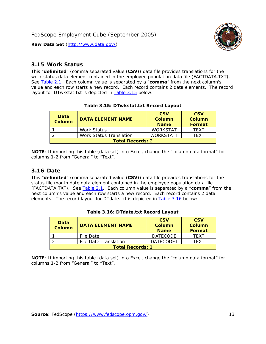

#### <span id="page-13-0"></span>*3.15 Work Status*

<span id="page-13-4"></span><span id="page-13-2"></span>This "**delimited**" (comma separated value (**CSV**)) data file provides translations for the work status data element contained in the employee population data file (FACTDATA.TXT). See [Table 2.1](#page-4-1). Each column value is separated by a "**comma**" from the next column's value and each row starts a new record. Each record contains 2 data elements. The record layout for DTwkstat.txt is depicted in [Table 3.15](#page-13-4) below:

| Data<br><b>Column</b>   | <b>DATA ELEMENT NAME</b> | <b>CSV</b><br>Column<br><b>Name</b> | <b>CSV</b><br>Column<br><b>Format</b> |
|-------------------------|--------------------------|-------------------------------------|---------------------------------------|
|                         | Work Status              | <b>WORKSTAT</b>                     | TFXT                                  |
|                         | Work Status Translation  | <b>WORKSTATT</b>                    | TFXT                                  |
| <b>Total Records: 2</b> |                          |                                     |                                       |

#### **Table 3.15: DTwkstat.txt Record Layout**

**NOTE**: If importing this table (data set) into Excel, change the "column data format" for columns 1-2 from "General" to "Text".

#### <span id="page-13-1"></span>*3.16 Date*

<span id="page-13-5"></span><span id="page-13-3"></span>This "**delimited**" (comma separated value (**CSV**)) data file provides translations for the status file month date data element contained in the employee population data file (FACTDATA.TXT). See [Table 2.1](#page-4-1). Each column value is separated by a "**comma**" from the next column's value and each row starts a new record. Each record contains 2 data elements. The record layout for DTdate.txt is depicted in [Table 3.16](#page-13-5) below:

| Data<br><b>Column</b>   | <b>DATA ELEMENT NAME</b> | <b>CSV</b><br>Column<br><b>Name</b> | <b>CSV</b><br>Column<br><b>Format</b> |
|-------------------------|--------------------------|-------------------------------------|---------------------------------------|
|                         | File Date                | <b>DATECODE</b>                     | TFXT                                  |
|                         | File Date Translation    | <b>DATECODET</b>                    | TFXT                                  |
| <b>Total Records: 1</b> |                          |                                     |                                       |

**Table 3.16: DTdate.txt Record Layout**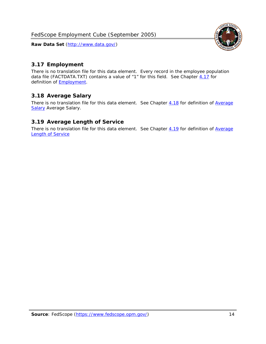

## <span id="page-14-0"></span>*3.17 Employment*

There is no translation file for this data element. Every record in the employee population data file (FACTDATA.TXT) contains a value of "1" for this field. See Chapter [4.17](#page-16-8) for definition of **Employment**.

#### <span id="page-14-1"></span>*3.18 Average Salary*

There is no translation file for this data element. See Chapter [4.18](#page-17-1) for definition of [Average](#page-17-1) [Salary](#page-17-1) [Average Salary.](#page-17-1)

#### <span id="page-14-2"></span>*3.19 Average Length of Service*

There is no translation file for this data element. See Chapter [4.19](#page-17-2) for definition of [Average](#page-17-2) Length of Service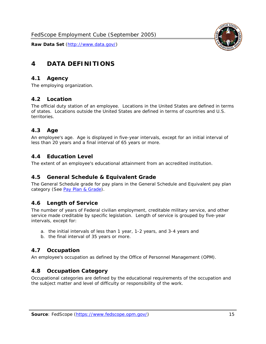

# <span id="page-15-0"></span>**4 DATA DEFINITIONS**

#### <span id="page-15-1"></span>*4.1 Agency*

The employing organization.

#### <span id="page-15-2"></span>*4.2 Location*

The official duty station of an employee. Locations in the United States are defined in terms of states. Locations outside the United States are defined in terms of countries and U.S. territories.

#### <span id="page-15-3"></span>*4.3 Age*

An employee's age. Age is displayed in five-year intervals, except for an initial interval of less than 20 years and a final interval of 65 years or more.

#### <span id="page-15-4"></span>*4.4 Education Level*

The extent of an employee's educational attainment from an accredited institution.

#### <span id="page-15-5"></span>*4.5 General Schedule & Equivalent Grade*

The General Schedule grade for pay plans in the General Schedule and Equivalent pay plan category (See [Pay Plan & Grade](#page-16-0)).

#### <span id="page-15-6"></span>*4.6 Length of Service*

The number of years of Federal civilian employment, creditable military service, and other service made creditable by specific legislation. Length of service is grouped by five-year intervals, except for:

- a. the initial intervals of less than 1 year, 1-2 years, and 3-4 years and
- b. the final interval of 35 years or more.

#### <span id="page-15-7"></span>*4.7 Occupation*

An employee's occupation as defined by the Office of Personnel Management (OPM).

#### <span id="page-15-8"></span>*4.8 Occupation Category*

Occupational categories are defined by the educational requirements of the occupation and the subject matter and level of difficulty or responsibility of the work.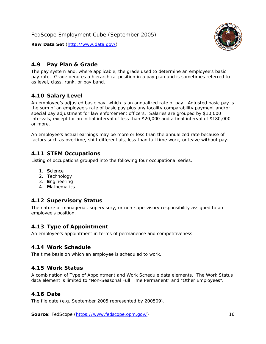<span id="page-16-0"></span>

The pay system and, where applicable, the grade used to determine an employee's basic pay rate. Grade denotes a hierarchical position in a pay plan and is sometimes referred to as level, class, rank, or pay band.

# <span id="page-16-1"></span>*4.10 Salary Level*

An employee's adjusted basic pay, which is an annualized rate of pay. Adjusted basic pay is the sum of an employee's rate of basic pay plus any locality comparability payment and/or special pay adjustment for law enforcement officers. Salaries are grouped by \$10,000 intervals, except for an initial interval of less than \$20,000 and a final interval of \$180,000 or more.

An employee's actual earnings may be more or less than the annualized rate because of factors such as overtime, shift differentials, less than full time work, or leave without pay.

## <span id="page-16-2"></span>*4.11 STEM Occupations*

Listing of occupations grouped into the following four occupational series:

- 1. **S**cience
- 2. **T**echnology
- 3. **E**ngineering
- 4. **M**athematics

#### <span id="page-16-3"></span>*4.12 Supervisory Status*

The nature of managerial, supervisory, or non-supervisory responsibility assigned to an employee's position.

#### <span id="page-16-4"></span>*4.13 Type of Appointment*

An employee's appointment in terms of permanence and competitiveness.

#### <span id="page-16-5"></span>*4.14 Work Schedule*

The time basis on which an employee is scheduled to work.

#### <span id="page-16-6"></span>*4.15 Work Status*

A combination of Type of Appointment and Work Schedule data elements. The Work Status data element is limited to "Non-Seasonal Full Time Permanent" and "Other Employees".

#### <span id="page-16-7"></span>*4.16 Date*

<span id="page-16-8"></span>The file date (e.g. September 2005 represented by 200509).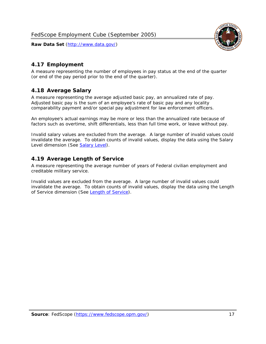

## <span id="page-17-0"></span>*4.17 Employment*

A measure representing the number of employees in pay status at the end of the quarter (or end of the pay period prior to the end of the quarter).

#### <span id="page-17-1"></span>*4.18 Average Salary*

A measure representing the average adjusted basic pay, an annualized rate of pay. Adjusted basic pay is the sum of an employee's rate of basic pay and any locality comparability payment and/or special pay adjustment for law enforcement officers.

An employee's actual earnings may be more or less than the annualized rate because of factors such as overtime, shift differentials, less than full time work, or leave without pay.

Invalid salary values are excluded from the average. A large number of invalid values could invalidate the average. To obtain counts of invalid values, display the data using the Salary Level dimension (See [Salary Level\)](#page-16-1).

#### <span id="page-17-2"></span>*4.19 Average Length of Service*

A measure representing the average number of years of Federal civilian employment and creditable military service.

Invalid values are excluded from the average. A large number of invalid values could invalidate the average. To obtain counts of invalid values, display the data using the Length of Service dimension (See [Length of Service](#page-15-6)).